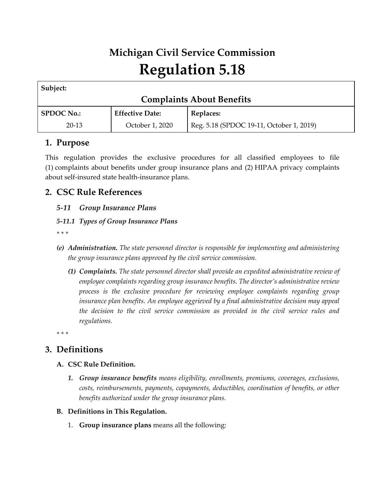# **Michigan Civil Service Commission Regulation 5.18**

| Subject:                         |                        |                                          |  |
|----------------------------------|------------------------|------------------------------------------|--|
| <b>Complaints About Benefits</b> |                        |                                          |  |
| <b>SPDOC No.:</b>                | <b>Effective Date:</b> | <b>Replaces:</b>                         |  |
| $20-13$                          | October 1, 2020        | Reg. 5.18 (SPDOC 19-11, October 1, 2019) |  |

# **1. Purpose**

This regulation provides the exclusive procedures for all classified employees to file (1) complaints about benefits under group insurance plans and (2) HIPAA privacy complaints about self-insured state health-insurance plans.

# **2. CSC Rule References**

## *5-11 Group Insurance Plans*

## *5-11.1 Types of Group Insurance Plans*

*\* \* \**

- *(e) Administration. The state personnel director is responsible for implementing and administering the group insurance plans approved by the civil service commission.*
	- *(1) Complaints. The state personnel director shall provide an expedited administrative review of employee complaints regarding group insurance benefits. The director's administrative review process is the exclusive procedure for reviewing employee complaints regarding group insurance plan benefits. An employee aggrieved by a final administrative decision may appeal the decision to the civil service commission as provided in the civil service rules and regulations.*

*\* \* \**

# **3. Definitions**

#### **A. CSC Rule Definition.**

- *1. Group insurance benefits means eligibility, enrollments, premiums, coverages, exclusions, costs, reimbursements, payments, copayments, deductibles, coordination of benefits, or other benefits authorized under the group insurance plans.*
- **B. Definitions in This Regulation.**
	- 1. **Group insurance plans** means all the following: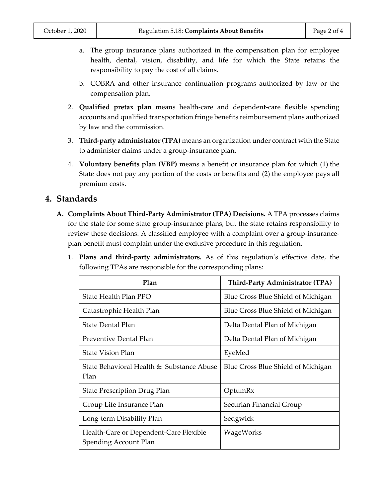- a. The group insurance plans authorized in the compensation plan for employee health, dental, vision, disability, and life for which the State retains the responsibility to pay the cost of all claims.
- b. COBRA and other insurance continuation programs authorized by law or the compensation plan.
- 2. **Qualified pretax plan** means health-care and dependent-care flexible spending accounts and qualified transportation fringe benefits reimbursement plans authorized by law and the commission.
- 3. **Third-party administrator (TPA)** means an organization under contract with the State to administer claims under a group-insurance plan.
- 4. **Voluntary benefits plan (VBP)** means a benefit or insurance plan for which (1) the State does not pay any portion of the costs or benefits and (2) the employee pays all premium costs.

## **4. Standards**

- **A. Complaints About Third-Party Administrator (TPA) Decisions.** A TPA processes claims for the state for some state group-insurance plans, but the state retains responsibility to review these decisions. A classified employee with a complaint over a group-insuranceplan benefit must complain under the exclusive procedure in this regulation.
	- 1. **Plans and third-party administrators.** As of this regulation's effective date, the following TPAs are responsible for the corresponding plans:

| Plan                                                            | Third-Party Administrator (TPA)    |
|-----------------------------------------------------------------|------------------------------------|
| <b>State Health Plan PPO</b>                                    | Blue Cross Blue Shield of Michigan |
| Catastrophic Health Plan                                        | Blue Cross Blue Shield of Michigan |
| State Dental Plan                                               | Delta Dental Plan of Michigan      |
| Preventive Dental Plan                                          | Delta Dental Plan of Michigan      |
| State Vision Plan                                               | EyeMed                             |
| State Behavioral Health & Substance Abuse<br>Plan               | Blue Cross Blue Shield of Michigan |
| <b>State Prescription Drug Plan</b>                             | OptumRx                            |
| Group Life Insurance Plan                                       | Securian Financial Group           |
| Long-term Disability Plan                                       | Sedgwick                           |
| Health-Care or Dependent-Care Flexible<br>Spending Account Plan | WageWorks                          |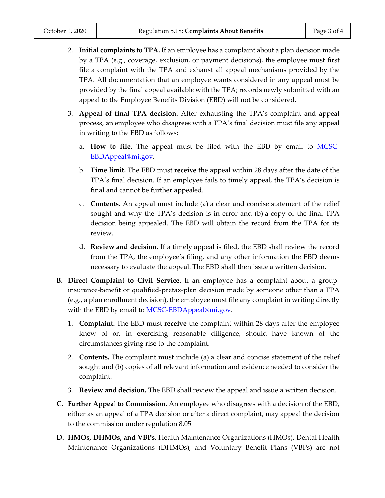- 2. **Initial complaints to TPA.** If an employee has a complaint about a plan decision made by a TPA (e.g., coverage, exclusion, or payment decisions), the employee must first file a complaint with the TPA and exhaust all appeal mechanisms provided by the TPA. All documentation that an employee wants considered in any appeal must be provided by the final appeal available with the TPA; records newly submitted with an appeal to the Employee Benefits Division (EBD) will not be considered.
- 3. **Appeal of final TPA decision.** After exhausting the TPA's complaint and appeal process, an employee who disagrees with a TPA's final decision must file any appeal in writing to the EBD as follows:
	- a. **How to file**. The appeal must be filed with the EBD by email to [MCSC-](mailto:MCSC-EBDAppeal@mi.gov)[EBDAppeal@mi.gov.](mailto:MCSC-EBDAppeal@mi.gov)
	- b. **Time limit.** The EBD must **receive** the appeal within 28 days after the date of the TPA's final decision. If an employee fails to timely appeal, the TPA's decision is final and cannot be further appealed.
	- c. **Contents.** An appeal must include (a) a clear and concise statement of the relief sought and why the TPA's decision is in error and (b) a copy of the final TPA decision being appealed. The EBD will obtain the record from the TPA for its review.
	- d. **Review and decision.** If a timely appeal is filed, the EBD shall review the record from the TPA, the employee's filing, and any other information the EBD deems necessary to evaluate the appeal. The EBD shall then issue a written decision.
- **B. Direct Complaint to Civil Service.** If an employee has a complaint about a groupinsurance-benefit or qualified-pretax-plan decision made by someone other than a TPA (e.g., a plan enrollment decision), the employee must file any complaint in writing directly with the EBD by email to **MCSC-EBDAppeal@mi.gov.** 
	- 1. **Complaint.** The EBD must **receive** the complaint within 28 days after the employee knew of or, in exercising reasonable diligence, should have known of the circumstances giving rise to the complaint.
	- 2. **Contents.** The complaint must include (a) a clear and concise statement of the relief sought and (b) copies of all relevant information and evidence needed to consider the complaint.
	- 3. **Review and decision.** The EBD shall review the appeal and issue a written decision.
- **C. Further Appeal to Commission.** An employee who disagrees with a decision of the EBD, either as an appeal of a TPA decision or after a direct complaint, may appeal the decision to the commission under regulation 8.05.
- **D. HMOs, DHMOs, and VBPs.** Health Maintenance Organizations (HMOs), Dental Health Maintenance Organizations (DHMOs), and Voluntary Benefit Plans (VBPs) are not